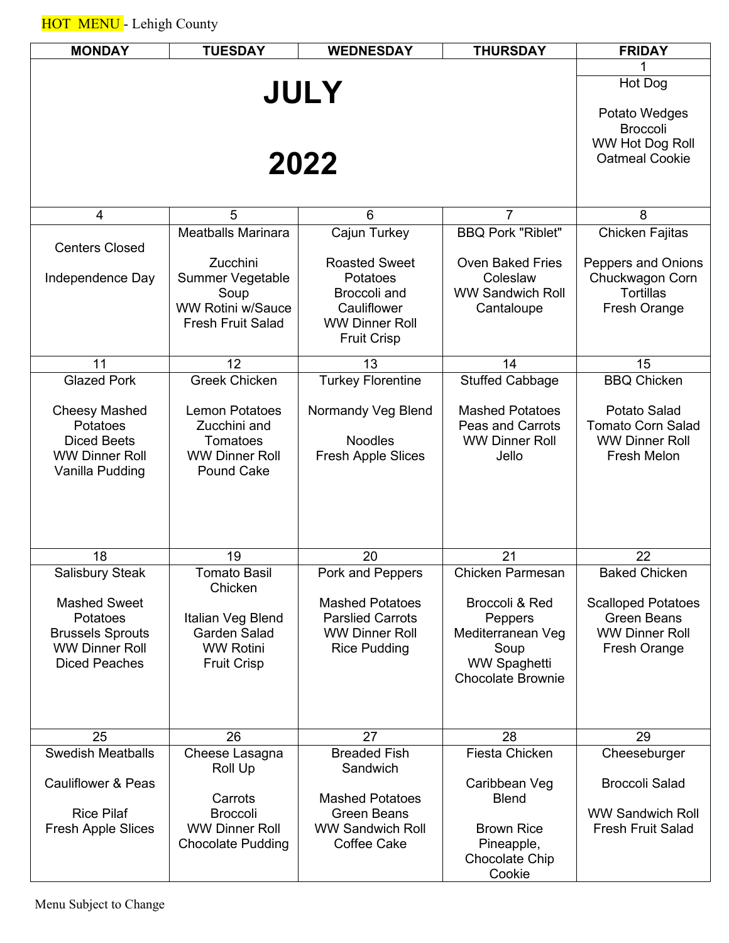| <b>MONDAY</b>                                    | <b>TUESDAY</b>                                    | <b>WEDNESDAY</b>                                 | <b>THURSDAY</b>                 | <b>FRIDAY</b>                               |  |  |
|--------------------------------------------------|---------------------------------------------------|--------------------------------------------------|---------------------------------|---------------------------------------------|--|--|
|                                                  | Hot Dog                                           |                                                  |                                 |                                             |  |  |
|                                                  |                                                   |                                                  |                                 |                                             |  |  |
|                                                  |                                                   |                                                  |                                 |                                             |  |  |
|                                                  |                                                   | 2022                                             |                                 | <b>Broccoli</b><br>WW Hot Dog Roll          |  |  |
|                                                  | <b>Oatmeal Cookie</b>                             |                                                  |                                 |                                             |  |  |
|                                                  |                                                   |                                                  |                                 |                                             |  |  |
| 4                                                | 5                                                 | 6                                                | $\overline{7}$                  | 8                                           |  |  |
|                                                  | <b>Meatballs Marinara</b>                         | Cajun Turkey                                     | <b>BBQ Pork "Riblet"</b>        | Chicken Fajitas                             |  |  |
| <b>Centers Closed</b>                            | <b>Zucchini</b>                                   | <b>Roasted Sweet</b>                             | <b>Oven Baked Fries</b>         | <b>Peppers and Onions</b>                   |  |  |
| Independence Day                                 | <b>Summer Vegetable</b>                           | Potatoes                                         | Coleslaw                        | Chuckwagon Corn                             |  |  |
|                                                  | Soup<br><b>WW Rotini w/Sauce</b>                  | Broccoli and<br>Cauliflower                      | <b>WW Sandwich Roll</b>         | <b>Tortillas</b>                            |  |  |
|                                                  | <b>Fresh Fruit Salad</b>                          | <b>WW Dinner Roll</b>                            | Cantaloupe                      | Fresh Orange                                |  |  |
|                                                  |                                                   | <b>Fruit Crisp</b>                               |                                 |                                             |  |  |
| 11                                               | 12                                                | 13                                               | 14                              | 15                                          |  |  |
| <b>Glazed Pork</b>                               | <b>Greek Chicken</b>                              | <b>Turkey Florentine</b>                         | <b>Stuffed Cabbage</b>          | <b>BBQ Chicken</b>                          |  |  |
| <b>Cheesy Mashed</b>                             | <b>Lemon Potatoes</b>                             | Normandy Veg Blend                               | <b>Mashed Potatoes</b>          | Potato Salad                                |  |  |
| Potatoes                                         | Zucchini and                                      |                                                  | <b>Peas and Carrots</b>         | <b>Tomato Corn Salad</b>                    |  |  |
| <b>Diced Beets</b><br><b>WW Dinner Roll</b>      | Tomatoes<br><b>WW Dinner Roll</b>                 | <b>Noodles</b><br><b>Fresh Apple Slices</b>      | <b>WW Dinner Roll</b><br>Jello  | <b>WW Dinner Roll</b><br><b>Fresh Melon</b> |  |  |
| Vanilla Pudding                                  | <b>Pound Cake</b>                                 |                                                  |                                 |                                             |  |  |
|                                                  |                                                   |                                                  |                                 |                                             |  |  |
|                                                  |                                                   |                                                  |                                 |                                             |  |  |
|                                                  |                                                   |                                                  |                                 |                                             |  |  |
| 18                                               | 19                                                | 20                                               | 21                              | 22                                          |  |  |
| <b>Salisbury Steak</b>                           | Tomato Basil<br>Chicken                           | Pork and Peppers                                 | <b>Chicken Parmesan</b>         | <b>Baked Chicken</b>                        |  |  |
| <b>Mashed Sweet</b>                              |                                                   | <b>Mashed Potatoes</b>                           | Broccoli & Red                  | <b>Scalloped Potatoes</b>                   |  |  |
| Potatoes                                         | Italian Veg Blend<br><b>Garden Salad</b>          | <b>Parslied Carrots</b><br><b>WW Dinner Roll</b> | Peppers                         | <b>Green Beans</b><br><b>WW Dinner Roll</b> |  |  |
| <b>Brussels Sprouts</b><br><b>WW Dinner Roll</b> | <b>WW Rotini</b>                                  | <b>Rice Pudding</b>                              | Mediterranean Veg<br>Soup       | Fresh Orange                                |  |  |
| <b>Diced Peaches</b>                             | <b>Fruit Crisp</b>                                |                                                  | <b>WW Spaghetti</b>             |                                             |  |  |
|                                                  |                                                   |                                                  | <b>Chocolate Brownie</b>        |                                             |  |  |
|                                                  |                                                   |                                                  |                                 |                                             |  |  |
| 25                                               | 26                                                | 27                                               | 28                              | 29                                          |  |  |
| <b>Swedish Meatballs</b>                         | Cheese Lasagna                                    | <b>Breaded Fish</b>                              | Fiesta Chicken                  | Cheeseburger                                |  |  |
| <b>Cauliflower &amp; Peas</b>                    | Roll Up                                           | Sandwich                                         | Caribbean Veg                   | <b>Broccoli Salad</b>                       |  |  |
|                                                  | Carrots                                           | <b>Mashed Potatoes</b>                           | <b>Blend</b>                    |                                             |  |  |
| <b>Rice Pilaf</b>                                | <b>Broccoli</b>                                   | <b>Green Beans</b>                               |                                 | <b>WW Sandwich Roll</b>                     |  |  |
| <b>Fresh Apple Slices</b>                        | <b>WW Dinner Roll</b><br><b>Chocolate Pudding</b> | <b>WW Sandwich Roll</b><br>Coffee Cake           | <b>Brown Rice</b><br>Pineapple, | <b>Fresh Fruit Salad</b>                    |  |  |
|                                                  |                                                   |                                                  | Chocolate Chip                  |                                             |  |  |
|                                                  |                                                   |                                                  | Cookie                          |                                             |  |  |